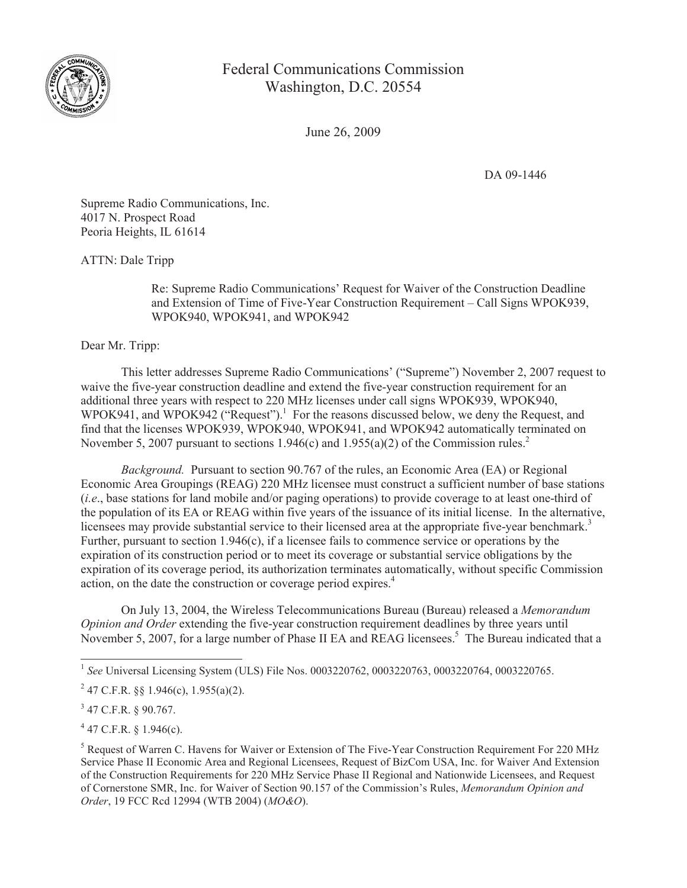

Federal Communications Commission Washington, D.C. 20554

June 26, 2009

DA 09-1446

Supreme Radio Communications, Inc. 4017 N. Prospect Road Peoria Heights, IL 61614

ATTN: Dale Tripp

Re: Supreme Radio Communications' Request for Waiver of the Construction Deadline and Extension of Time of Five-Year Construction Requirement – Call Signs WPOK939, WPOK940, WPOK941, and WPOK942

Dear Mr. Tripp:

This letter addresses Supreme Radio Communications' ("Supreme") November 2, 2007 request to waive the five-year construction deadline and extend the five-year construction requirement for an additional three years with respect to 220 MHz licenses under call signs WPOK939, WPOK940, WPOK941, and WPOK942 ( $\cdot$ Request").<sup>1</sup> For the reasons discussed below, we deny the Request, and find that the licenses WPOK939, WPOK940, WPOK941, and WPOK942 automatically terminated on November 5, 2007 pursuant to sections 1.946(c) and 1.955(a)(2) of the Commission rules.<sup>2</sup>

*Background.* Pursuant to section 90.767 of the rules, an Economic Area (EA) or Regional Economic Area Groupings (REAG) 220 MHz licensee must construct a sufficient number of base stations (*i.e*., base stations for land mobile and/or paging operations) to provide coverage to at least one-third of the population of its EA or REAG within five years of the issuance of its initial license. In the alternative, licensees may provide substantial service to their licensed area at the appropriate five-year benchmark.<sup>3</sup> Further, pursuant to section 1.946(c), if a licensee fails to commence service or operations by the expiration of its construction period or to meet its coverage or substantial service obligations by the expiration of its coverage period, its authorization terminates automatically, without specific Commission action, on the date the construction or coverage period expires.<sup>4</sup>

On July 13, 2004, the Wireless Telecommunications Bureau (Bureau) released a *Memorandum Opinion and Order* extending the five-year construction requirement deadlines by three years until November 5, 2007, for a large number of Phase II EA and REAG licensees.<sup>5</sup> The Bureau indicated that a

 $4$  47 C.F.R. § 1.946(c).

<sup>1</sup> *See* Universal Licensing System (ULS) File Nos. 0003220762, 0003220763, 0003220764, 0003220765.

<sup>&</sup>lt;sup>2</sup> 47 C.F.R. §§ 1.946(c), 1.955(a)(2).

 $3$  47 C.F.R. § 90.767.

<sup>&</sup>lt;sup>5</sup> Request of Warren C. Havens for Waiver or Extension of The Five-Year Construction Requirement For 220 MHz Service Phase II Economic Area and Regional Licensees, Request of BizCom USA, Inc. for Waiver And Extension of the Construction Requirements for 220 MHz Service Phase II Regional and Nationwide Licensees, and Request of Cornerstone SMR, Inc. for Waiver of Section 90.157 of the Commission's Rules, *Memorandum Opinion and Order*, 19 FCC Rcd 12994 (WTB 2004) (*MO&O*).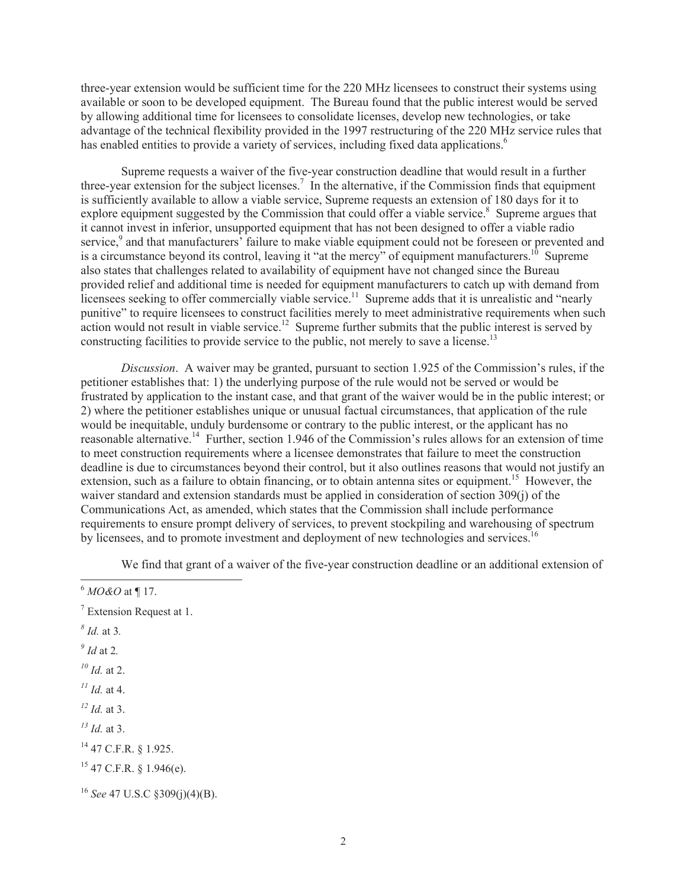three-year extension would be sufficient time for the 220 MHz licensees to construct their systems using available or soon to be developed equipment. The Bureau found that the public interest would be served by allowing additional time for licensees to consolidate licenses, develop new technologies, or take advantage of the technical flexibility provided in the 1997 restructuring of the 220 MHz service rules that has enabled entities to provide a variety of services, including fixed data applications.<sup>6</sup>

Supreme requests a waiver of the five-year construction deadline that would result in a further three-year extension for the subject licenses.<sup>7</sup> In the alternative, if the Commission finds that equipment is sufficiently available to allow a viable service, Supreme requests an extension of 180 days for it to explore equipment suggested by the Commission that could offer a viable service.<sup>8</sup> Supreme argues that it cannot invest in inferior, unsupported equipment that has not been designed to offer a viable radio service,<sup>9</sup> and that manufacturers<sup>3</sup> failure to make viable equipment could not be foreseen or prevented and is a circumstance beyond its control, leaving it "at the mercy" of equipment manufacturers.<sup>10</sup> Supreme also states that challenges related to availability of equipment have not changed since the Bureau provided relief and additional time is needed for equipment manufacturers to catch up with demand from licensees seeking to offer commercially viable service.<sup>11</sup> Supreme adds that it is unrealistic and "nearly" punitive" to require licensees to construct facilities merely to meet administrative requirements when such action would not result in viable service.<sup>12</sup> Supreme further submits that the public interest is served by constructing facilities to provide service to the public, not merely to save a license.<sup>13</sup>

*Discussion*. A waiver may be granted, pursuant to section 1.925 of the Commission's rules, if the petitioner establishes that: 1) the underlying purpose of the rule would not be served or would be frustrated by application to the instant case, and that grant of the waiver would be in the public interest; or 2) where the petitioner establishes unique or unusual factual circumstances, that application of the rule would be inequitable, unduly burdensome or contrary to the public interest, or the applicant has no reasonable alternative.<sup>14</sup> Further, section 1.946 of the Commission's rules allows for an extension of time to meet construction requirements where a licensee demonstrates that failure to meet the construction deadline is due to circumstances beyond their control, but it also outlines reasons that would not justify an extension, such as a failure to obtain financing, or to obtain antenna sites or equipment.<sup>15</sup> However, the waiver standard and extension standards must be applied in consideration of section 309(j) of the Communications Act, as amended, which states that the Commission shall include performance requirements to ensure prompt delivery of services, to prevent stockpiling and warehousing of spectrum by licensees, and to promote investment and deployment of new technologies and services.<sup>16</sup>

We find that grant of a waiver of the five-year construction deadline or an additional extension of

- *8 Id.* at 3*.*
- *9 Id* at 2*.*
- *<sup>10</sup> Id.* at 2.
- *<sup>11</sup> Id.* at 4.
- *<sup>12</sup> Id.* at 3.
- *<sup>13</sup> Id.* at 3.
- <sup>14</sup> 47 C.F.R. § 1.925.
- $15$  47 C.F.R. § 1.946(e).

<sup>6</sup> *MO&O* at ¶ 17.

<sup>7</sup> Extension Request at 1.

<sup>16</sup> *See* 47 U.S.C §309(j)(4)(B).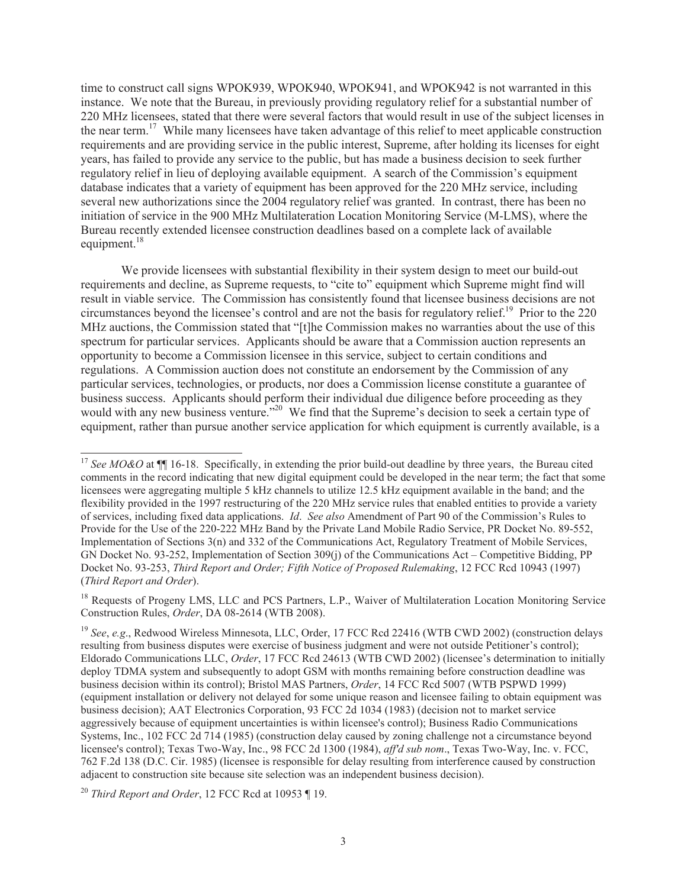time to construct call signs WPOK939, WPOK940, WPOK941, and WPOK942 is not warranted in this instance. We note that the Bureau, in previously providing regulatory relief for a substantial number of 220 MHz licensees, stated that there were several factors that would result in use of the subject licenses in the near term.<sup>17</sup> While many licensees have taken advantage of this relief to meet applicable construction requirements and are providing service in the public interest, Supreme, after holding its licenses for eight years, has failed to provide any service to the public, but has made a business decision to seek further regulatory relief in lieu of deploying available equipment. A search of the Commission's equipment database indicates that a variety of equipment has been approved for the 220 MHz service, including several new authorizations since the 2004 regulatory relief was granted. In contrast, there has been no initiation of service in the 900 MHz Multilateration Location Monitoring Service (M-LMS), where the Bureau recently extended licensee construction deadlines based on a complete lack of available equipment. $18$ 

We provide licensees with substantial flexibility in their system design to meet our build-out requirements and decline, as Supreme requests, to "cite to" equipment which Supreme might find will result in viable service. The Commission has consistently found that licensee business decisions are not circumstances beyond the licensee's control and are not the basis for regulatory relief.<sup>19</sup> Prior to the 220 MHz auctions, the Commission stated that "[t]he Commission makes no warranties about the use of this spectrum for particular services. Applicants should be aware that a Commission auction represents an opportunity to become a Commission licensee in this service, subject to certain conditions and regulations. A Commission auction does not constitute an endorsement by the Commission of any particular services, technologies, or products, nor does a Commission license constitute a guarantee of business success. Applicants should perform their individual due diligence before proceeding as they would with any new business venture."<sup>20</sup> We find that the Supreme's decision to seek a certain type of equipment, rather than pursue another service application for which equipment is currently available, is a

<sup>&</sup>lt;sup>17</sup> See MO&O at ¶[ 16-18. Specifically, in extending the prior build-out deadline by three years, the Bureau cited comments in the record indicating that new digital equipment could be developed in the near term; the fact that some licensees were aggregating multiple 5 kHz channels to utilize 12.5 kHz equipment available in the band; and the flexibility provided in the 1997 restructuring of the 220 MHz service rules that enabled entities to provide a variety of services, including fixed data applications. *Id*. *See also* Amendment of Part 90 of the Commission's Rules to Provide for the Use of the 220-222 MHz Band by the Private Land Mobile Radio Service, PR Docket No. 89-552, Implementation of Sections 3(n) and 332 of the Communications Act, Regulatory Treatment of Mobile Services, GN Docket No. 93-252, Implementation of Section 309(j) of the Communications Act – Competitive Bidding, PP Docket No. 93-253, *Third Report and Order; Fifth Notice of Proposed Rulemaking*, 12 FCC Rcd 10943 (1997) (*Third Report and Order*).

<sup>&</sup>lt;sup>18</sup> Requests of Progeny LMS, LLC and PCS Partners, L.P., Waiver of Multilateration Location Monitoring Service Construction Rules, *Order*, DA 08-2614 (WTB 2008).

<sup>&</sup>lt;sup>19</sup> *See*, *e.g.*, Redwood Wireless Minnesota, LLC, Order, 17 FCC Rcd 22416 (WTB CWD 2002) (construction delays resulting from business disputes were exercise of business judgment and were not outside Petitioner's control); Eldorado Communications LLC, *Order*, 17 FCC Rcd 24613 (WTB CWD 2002) (licensee's determination to initially deploy TDMA system and subsequently to adopt GSM with months remaining before construction deadline was business decision within its control); Bristol MAS Partners, *Order*, 14 FCC Rcd 5007 (WTB PSPWD 1999) (equipment installation or delivery not delayed for some unique reason and licensee failing to obtain equipment was business decision); AAT Electronics Corporation, 93 FCC 2d 1034 (1983) (decision not to market service aggressively because of equipment uncertainties is within licensee's control); Business Radio Communications Systems, Inc., 102 FCC 2d 714 (1985) (construction delay caused by zoning challenge not a circumstance beyond licensee's control); Texas Two-Way, Inc., 98 FCC 2d 1300 (1984), *aff'd sub nom*., Texas Two-Way, Inc. v. FCC, 762 F.2d 138 (D.C. Cir. 1985) (licensee is responsible for delay resulting from interference caused by construction adjacent to construction site because site selection was an independent business decision).

<sup>20</sup> *Third Report and Order*, 12 FCC Rcd at 10953 ¶ 19.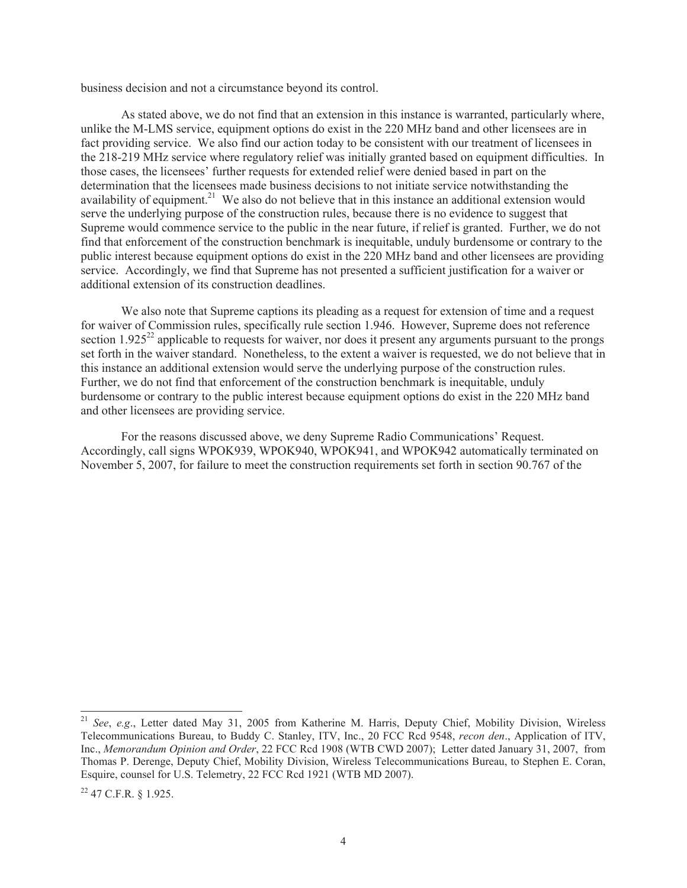business decision and not a circumstance beyond its control.

As stated above, we do not find that an extension in this instance is warranted, particularly where, unlike the M-LMS service, equipment options do exist in the 220 MHz band and other licensees are in fact providing service. We also find our action today to be consistent with our treatment of licensees in the 218-219 MHz service where regulatory relief was initially granted based on equipment difficulties. In those cases, the licensees' further requests for extended relief were denied based in part on the determination that the licensees made business decisions to not initiate service notwithstanding the availability of equipment.<sup>21</sup> We also do not believe that in this instance an additional extension would serve the underlying purpose of the construction rules, because there is no evidence to suggest that Supreme would commence service to the public in the near future, if relief is granted. Further, we do not find that enforcement of the construction benchmark is inequitable, unduly burdensome or contrary to the public interest because equipment options do exist in the 220 MHz band and other licensees are providing service. Accordingly, we find that Supreme has not presented a sufficient justification for a waiver or additional extension of its construction deadlines.

We also note that Supreme captions its pleading as a request for extension of time and a request for waiver of Commission rules, specifically rule section 1.946. However, Supreme does not reference section  $1.925^{22}$  applicable to requests for waiver, nor does it present any arguments pursuant to the prongs set forth in the waiver standard. Nonetheless, to the extent a waiver is requested, we do not believe that in this instance an additional extension would serve the underlying purpose of the construction rules. Further, we do not find that enforcement of the construction benchmark is inequitable, unduly burdensome or contrary to the public interest because equipment options do exist in the 220 MHz band and other licensees are providing service.

For the reasons discussed above, we deny Supreme Radio Communications' Request. Accordingly, call signs WPOK939, WPOK940, WPOK941, and WPOK942 automatically terminated on November 5, 2007, for failure to meet the construction requirements set forth in section 90.767 of the

<sup>21</sup> *See*, *e.g*., Letter dated May 31, 2005 from Katherine M. Harris, Deputy Chief, Mobility Division, Wireless Telecommunications Bureau, to Buddy C. Stanley, ITV, Inc., 20 FCC Rcd 9548, *recon den*., Application of ITV, Inc., *Memorandum Opinion and Order*, 22 FCC Rcd 1908 (WTB CWD 2007); Letter dated January 31, 2007, from Thomas P. Derenge, Deputy Chief, Mobility Division, Wireless Telecommunications Bureau, to Stephen E. Coran, Esquire, counsel for U.S. Telemetry, 22 FCC Rcd 1921 (WTB MD 2007).

<sup>22</sup> 47 C.F.R. § 1.925.